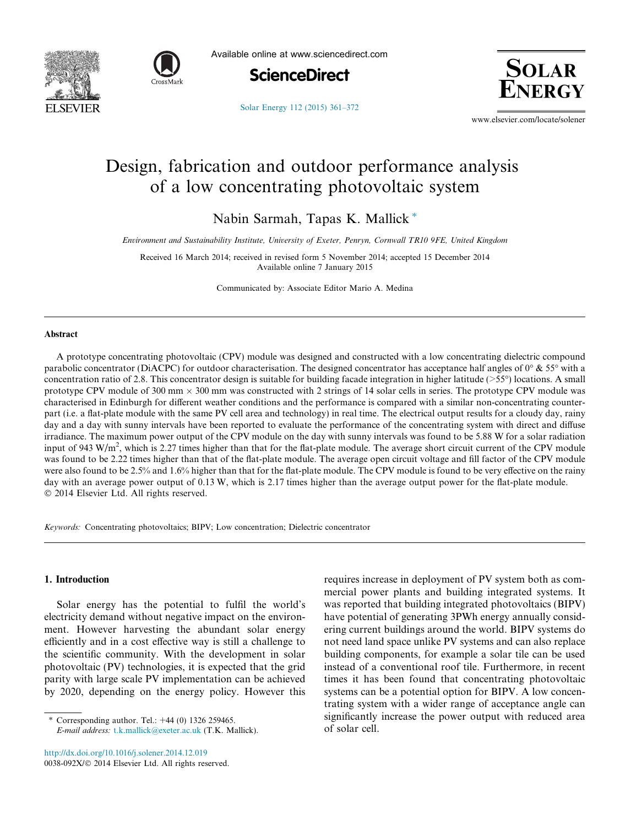



Available online at www.sciencedirect.com



**SOLAR** 

[Solar Energy 112 \(2015\) 361–372](http://dx.doi.org/10.1016/j.solener.2014.12.019)

www.elsevier.com/locate/solener

## Design, fabrication and outdoor performance analysis of a low concentrating photovoltaic system

Nabin Sarmah, Tapas K. Mallick\*

Environment and Sustainability Institute, University of Exeter, Penryn, Cornwall TR10 9FE, United Kingdom

Received 16 March 2014; received in revised form 5 November 2014; accepted 15 December 2014 Available online 7 January 2015

Communicated by: Associate Editor Mario A. Medina

## Abstract

A prototype concentrating photovoltaic (CPV) module was designed and constructed with a low concentrating dielectric compound parabolic concentrator (DiACPC) for outdoor characterisation. The designed concentrator has acceptance half angles of  $0^{\circ}$  & 55° with a concentration ratio of 2.8. This concentrator design is suitable for building facade integration in higher latitude ( $>55^{\circ}$ ) locations. A small prototype CPV module of 300 mm  $\times$  300 mm was constructed with 2 strings of 14 solar cells in series. The prototype CPV module was characterised in Edinburgh for different weather conditions and the performance is compared with a similar non-concentrating counterpart (i.e. a flat-plate module with the same PV cell area and technology) in real time. The electrical output results for a cloudy day, rainy day and a day with sunny intervals have been reported to evaluate the performance of the concentrating system with direct and diffuse irradiance. The maximum power output of the CPV module on the day with sunny intervals was found to be 5.88 W for a solar radiation input of 943 W/m<sup>2</sup>, which is 2.27 times higher than that for the flat-plate module. The average short circuit current of the CPV module was found to be 2.22 times higher than that of the flat-plate module. The average open circuit voltage and fill factor of the CPV module were also found to be 2.5% and 1.6% higher than that for the flat-plate module. The CPV module is found to be very effective on the rainy day with an average power output of 0.13 W, which is 2.17 times higher than the average output power for the flat-plate module. 2014 Elsevier Ltd. All rights reserved.

Keywords: Concentrating photovoltaics; BIPV; Low concentration; Dielectric concentrator

## 1. Introduction

Solar energy has the potential to fulfil the world's electricity demand without negative impact on the environment. However harvesting the abundant solar energy efficiently and in a cost effective way is still a challenge to the scientific community. With the development in solar photovoltaic (PV) technologies, it is expected that the grid parity with large scale PV implementation can be achieved by 2020, depending on the energy policy. However this

Corresponding author. Tel.: +44 (0) 1326 259465. E-mail address: [t.k.mallick@exeter.ac.uk](mailto:t.k.mallick@exeter.ac.uk) (T.K. Mallick).

<http://dx.doi.org/10.1016/j.solener.2014.12.019> 0038-092X/© 2014 Elsevier Ltd. All rights reserved. requires increase in deployment of PV system both as commercial power plants and building integrated systems. It was reported that building integrated photovoltaics (BIPV) have potential of generating 3PWh energy annually considering current buildings around the world. BIPV systems do not need land space unlike PV systems and can also replace building components, for example a solar tile can be used instead of a conventional roof tile. Furthermore, in recent times it has been found that concentrating photovoltaic systems can be a potential option for BIPV. A low concentrating system with a wider range of acceptance angle can significantly increase the power output with reduced area of solar cell.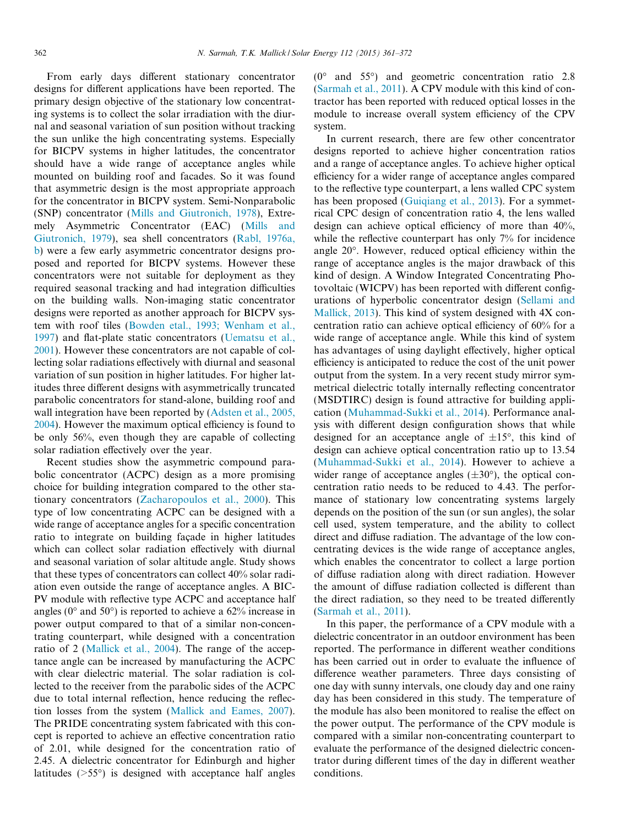From early days different stationary concentrator designs for different applications have been reported. The primary design objective of the stationary low concentrating systems is to collect the solar irradiation with the diurnal and seasonal variation of sun position without tracking the sun unlike the high concentrating systems. Especially for BICPV systems in higher latitudes, the concentrator should have a wide range of acceptance angles while mounted on building roof and facades. So it was found that asymmetric design is the most appropriate approach for the concentrator in BICPV system. Semi-Nonparabolic (SNP) concentrator ([Mills and Giutronich, 1978\)](#page--1-0), Extremely Asymmetric Concentrator (EAC) [\(Mills and](#page--1-0) [Giutronich, 1979\)](#page--1-0), sea shell concentrators ([Rabl, 1976a,](#page--1-0) [b](#page--1-0)) were a few early asymmetric concentrator designs proposed and reported for BICPV systems. However these concentrators were not suitable for deployment as they required seasonal tracking and had integration difficulties on the building walls. Non-imaging static concentrator designs were reported as another approach for BICPV system with roof tiles ([Bowden etal., 1993; Wenham et al.,](#page--1-0) [1997\)](#page--1-0) and flat-plate static concentrators ([Uematsu et al.,](#page--1-0) [2001\)](#page--1-0). However these concentrators are not capable of collecting solar radiations effectively with diurnal and seasonal variation of sun position in higher latitudes. For higher latitudes three different designs with asymmetrically truncated parabolic concentrators for stand-alone, building roof and wall integration have been reported by [\(Adsten et al., 2005,](#page--1-0) [2004\)](#page--1-0). However the maximum optical efficiency is found to be only 56%, even though they are capable of collecting solar radiation effectively over the year.

Recent studies show the asymmetric compound parabolic concentrator (ACPC) design as a more promising choice for building integration compared to the other stationary concentrators ([Zacharopoulos et al., 2000](#page--1-0)). This type of low concentrating ACPC can be designed with a wide range of acceptance angles for a specific concentration ratio to integrate on building façade in higher latitudes which can collect solar radiation effectively with diurnal and seasonal variation of solar altitude angle. Study shows that these types of concentrators can collect 40% solar radiation even outside the range of acceptance angles. A BIC-PV module with reflective type ACPC and acceptance half angles ( $0^{\circ}$  and  $50^{\circ}$ ) is reported to achieve a 62% increase in power output compared to that of a similar non-concentrating counterpart, while designed with a concentration ratio of 2 [\(Mallick et al., 2004](#page--1-0)). The range of the acceptance angle can be increased by manufacturing the ACPC with clear dielectric material. The solar radiation is collected to the receiver from the parabolic sides of the ACPC due to total internal reflection, hence reducing the reflection losses from the system ([Mallick and Eames, 2007\)](#page--1-0). The PRIDE concentrating system fabricated with this concept is reported to achieve an effective concentration ratio of 2.01, while designed for the concentration ratio of 2.45. A dielectric concentrator for Edinburgh and higher latitudes  $($ >55 $^{\circ}$ ) is designed with acceptance half angles

 $(0^{\circ}$  and 55°) and geometric concentration ratio 2.8 [\(Sarmah et al., 2011](#page--1-0)). A CPV module with this kind of contractor has been reported with reduced optical losses in the module to increase overall system efficiency of the CPV system.

In current research, there are few other concentrator designs reported to achieve higher concentration ratios and a range of acceptance angles. To achieve higher optical efficiency for a wider range of acceptance angles compared to the reflective type counterpart, a lens walled CPC system has been proposed (Guigiang et al., 2013). For a symmetrical CPC design of concentration ratio 4, the lens walled design can achieve optical efficiency of more than 40%, while the reflective counterpart has only 7% for incidence angle 20°. However, reduced optical efficiency within the range of acceptance angles is the major drawback of this kind of design. A Window Integrated Concentrating Photovoltaic (WICPV) has been reported with different configurations of hyperbolic concentrator design ([Sellami and](#page--1-0) [Mallick, 2013](#page--1-0)). This kind of system designed with 4X concentration ratio can achieve optical efficiency of 60% for a wide range of acceptance angle. While this kind of system has advantages of using daylight effectively, higher optical efficiency is anticipated to reduce the cost of the unit power output from the system. In a very recent study mirror symmetrical dielectric totally internally reflecting concentrator (MSDTIRC) design is found attractive for building application [\(Muhammad-Sukki et al., 2014\)](#page--1-0). Performance analysis with different design configuration shows that while designed for an acceptance angle of  $\pm 15^{\circ}$ , this kind of design can achieve optical concentration ratio up to 13.54 [\(Muhammad-Sukki et al., 2014](#page--1-0)). However to achieve a wider range of acceptance angles  $(\pm 30^{\circ})$ , the optical concentration ratio needs to be reduced to 4.43. The performance of stationary low concentrating systems largely depends on the position of the sun (or sun angles), the solar cell used, system temperature, and the ability to collect direct and diffuse radiation. The advantage of the low concentrating devices is the wide range of acceptance angles, which enables the concentrator to collect a large portion of diffuse radiation along with direct radiation. However the amount of diffuse radiation collected is different than the direct radiation, so they need to be treated differently [\(Sarmah et al., 2011\)](#page--1-0).

In this paper, the performance of a CPV module with a dielectric concentrator in an outdoor environment has been reported. The performance in different weather conditions has been carried out in order to evaluate the influence of difference weather parameters. Three days consisting of one day with sunny intervals, one cloudy day and one rainy day has been considered in this study. The temperature of the module has also been monitored to realise the effect on the power output. The performance of the CPV module is compared with a similar non-concentrating counterpart to evaluate the performance of the designed dielectric concentrator during different times of the day in different weather conditions.